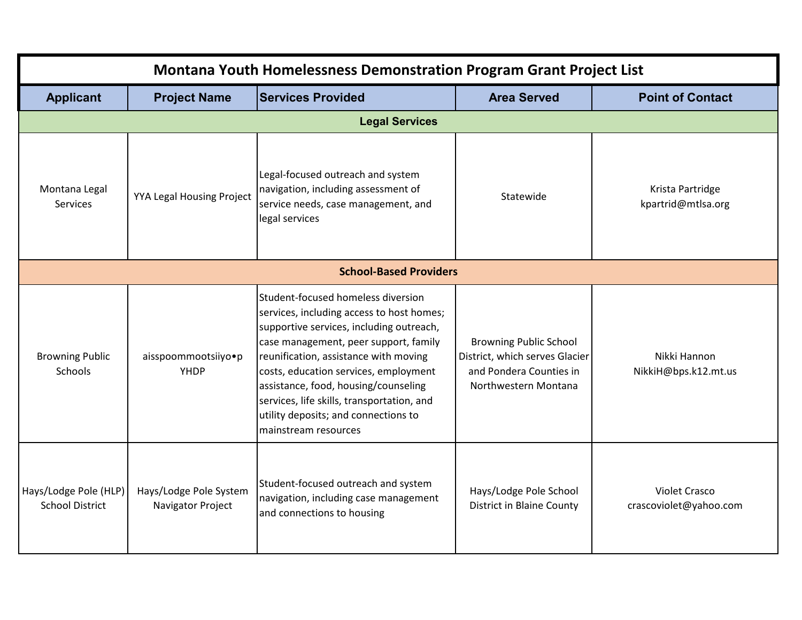| <b>Montana Youth Homelessness Demonstration Program Grant Project List</b> |                                             |                                                                                                                                                                                                                                                                                                                                                                                                              |                                                                                                                    |                                                |
|----------------------------------------------------------------------------|---------------------------------------------|--------------------------------------------------------------------------------------------------------------------------------------------------------------------------------------------------------------------------------------------------------------------------------------------------------------------------------------------------------------------------------------------------------------|--------------------------------------------------------------------------------------------------------------------|------------------------------------------------|
| <b>Applicant</b>                                                           | <b>Project Name</b>                         | <b>Services Provided</b>                                                                                                                                                                                                                                                                                                                                                                                     | <b>Area Served</b>                                                                                                 | <b>Point of Contact</b>                        |
|                                                                            |                                             | <b>Legal Services</b>                                                                                                                                                                                                                                                                                                                                                                                        |                                                                                                                    |                                                |
| Montana Legal<br>Services                                                  | YYA Legal Housing Project                   | Legal-focused outreach and system<br>navigation, including assessment of<br>service needs, case management, and<br>legal services                                                                                                                                                                                                                                                                            | Statewide                                                                                                          | Krista Partridge<br>kpartrid@mtlsa.org         |
| <b>School-Based Providers</b>                                              |                                             |                                                                                                                                                                                                                                                                                                                                                                                                              |                                                                                                                    |                                                |
| <b>Browning Public</b><br>Schools                                          | aisspoommootsiiyo•p<br>YHDP                 | Student-focused homeless diversion<br>services, including access to host homes;<br>supportive services, including outreach,<br>case management, peer support, family<br>reunification, assistance with moving<br>costs, education services, employment<br>assistance, food, housing/counseling<br>services, life skills, transportation, and<br>utility deposits; and connections to<br>mainstream resources | <b>Browning Public School</b><br>District, which serves Glacier<br>and Pondera Counties in<br>Northwestern Montana | Nikki Hannon<br>NikkiH@bps.k12.mt.us           |
| Hays/Lodge Pole (HLP)<br><b>School District</b>                            | Hays/Lodge Pole System<br>Navigator Project | Student-focused outreach and system<br>navigation, including case management<br>and connections to housing                                                                                                                                                                                                                                                                                                   | Hays/Lodge Pole School<br>District in Blaine County                                                                | <b>Violet Crasco</b><br>crascoviolet@yahoo.com |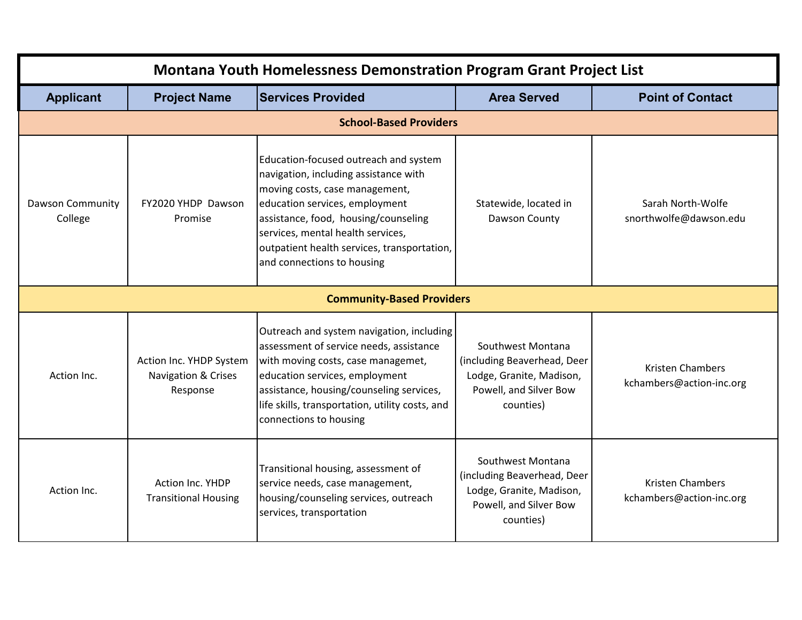| <b>Montana Youth Homelessness Demonstration Program Grant Project List</b> |                                                            |                                                                                                                                                                                                                                                                                                              |                                                                                                                     |                                                     |
|----------------------------------------------------------------------------|------------------------------------------------------------|--------------------------------------------------------------------------------------------------------------------------------------------------------------------------------------------------------------------------------------------------------------------------------------------------------------|---------------------------------------------------------------------------------------------------------------------|-----------------------------------------------------|
| <b>Applicant</b>                                                           | <b>Project Name</b>                                        | <b>Services Provided</b>                                                                                                                                                                                                                                                                                     | <b>Area Served</b>                                                                                                  | <b>Point of Contact</b>                             |
|                                                                            |                                                            | <b>School-Based Providers</b>                                                                                                                                                                                                                                                                                |                                                                                                                     |                                                     |
| <b>Dawson Community</b><br>College                                         | FY2020 YHDP Dawson<br>Promise                              | Education-focused outreach and system<br>navigation, including assistance with<br>moving costs, case management,<br>education services, employment<br>assistance, food, housing/counseling<br>services, mental health services,<br>outpatient health services, transportation,<br>and connections to housing | Statewide, located in<br>Dawson County                                                                              | Sarah North-Wolfe<br>snorthwolfe@dawson.edu         |
|                                                                            |                                                            | <b>Community-Based Providers</b>                                                                                                                                                                                                                                                                             |                                                                                                                     |                                                     |
| Action Inc.                                                                | Action Inc. YHDP System<br>Navigation & Crises<br>Response | Outreach and system navigation, including<br>assessment of service needs, assistance<br>with moving costs, case managemet,<br>education services, employment<br>assistance, housing/counseling services,<br>life skills, transportation, utility costs, and<br>connections to housing                        | Southwest Montana<br>(including Beaverhead, Deer<br>Lodge, Granite, Madison,<br>Powell, and Silver Bow<br>counties) | <b>Kristen Chambers</b><br>kchambers@action-inc.org |
| Action Inc.                                                                | <b>Action Inc. YHDP</b><br><b>Transitional Housing</b>     | Transitional housing, assessment of<br>service needs, case management,<br>housing/counseling services, outreach<br>services, transportation                                                                                                                                                                  | Southwest Montana<br>(including Beaverhead, Deer<br>Lodge, Granite, Madison,<br>Powell, and Silver Bow<br>counties) | <b>Kristen Chambers</b><br>kchambers@action-inc.org |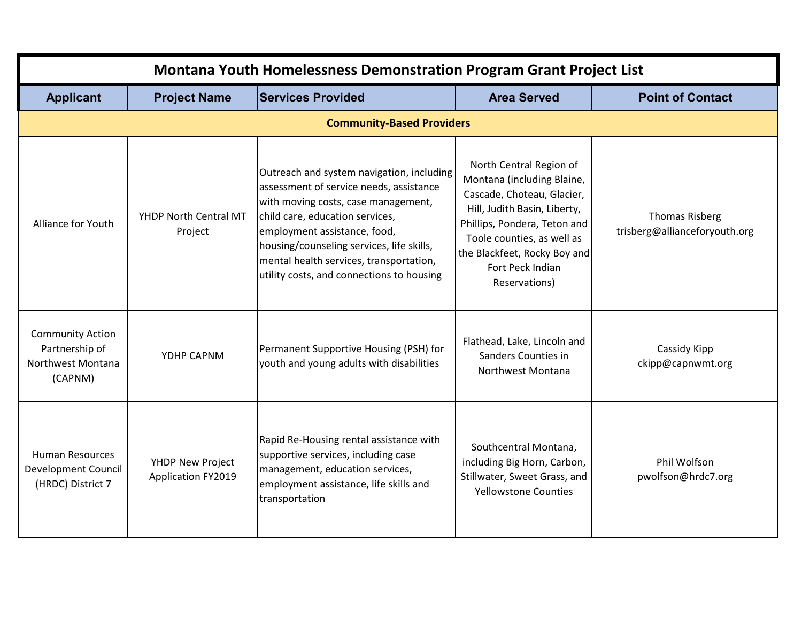| <b>Montana Youth Homelessness Demonstration Program Grant Project List</b> |                                               |                                                                                                                                                                                                                                                                                                                                     |                                                                                                                                                                                                                                                        |                                                        |
|----------------------------------------------------------------------------|-----------------------------------------------|-------------------------------------------------------------------------------------------------------------------------------------------------------------------------------------------------------------------------------------------------------------------------------------------------------------------------------------|--------------------------------------------------------------------------------------------------------------------------------------------------------------------------------------------------------------------------------------------------------|--------------------------------------------------------|
| <b>Applicant</b>                                                           | <b>Project Name</b>                           | <b>Services Provided</b>                                                                                                                                                                                                                                                                                                            | <b>Area Served</b>                                                                                                                                                                                                                                     | <b>Point of Contact</b>                                |
|                                                                            |                                               | <b>Community-Based Providers</b>                                                                                                                                                                                                                                                                                                    |                                                                                                                                                                                                                                                        |                                                        |
| Alliance for Youth                                                         | YHDP North Central MT<br>Project              | Outreach and system navigation, including<br>assessment of service needs, assistance<br>with moving costs, case management,<br>child care, education services,<br>employment assistance, food,<br>housing/counseling services, life skills,<br>mental health services, transportation,<br>utility costs, and connections to housing | North Central Region of<br>Montana (including Blaine,<br>Cascade, Choteau, Glacier,<br>Hill, Judith Basin, Liberty,<br>Phillips, Pondera, Teton and<br>Toole counties, as well as<br>the Blackfeet, Rocky Boy and<br>Fort Peck Indian<br>Reservations) | <b>Thomas Risberg</b><br>trisberg@allianceforyouth.org |
| <b>Community Action</b><br>Partnership of<br>Northwest Montana<br>(CAPNM)  | YDHP CAPNM                                    | Permanent Supportive Housing (PSH) for<br>youth and young adults with disabilities                                                                                                                                                                                                                                                  | Flathead, Lake, Lincoln and<br>Sanders Counties in<br>Northwest Montana                                                                                                                                                                                | Cassidy Kipp<br>ckipp@capnwmt.org                      |
| <b>Human Resources</b><br><b>Development Council</b><br>(HRDC) District 7  | YHDP New Project<br><b>Application FY2019</b> | Rapid Re-Housing rental assistance with<br>supportive services, including case<br>management, education services,<br>employment assistance, life skills and<br>transportation                                                                                                                                                       | Southcentral Montana,<br>including Big Horn, Carbon,<br>Stillwater, Sweet Grass, and<br><b>Yellowstone Counties</b>                                                                                                                                    | Phil Wolfson<br>pwolfson@hrdc7.org                     |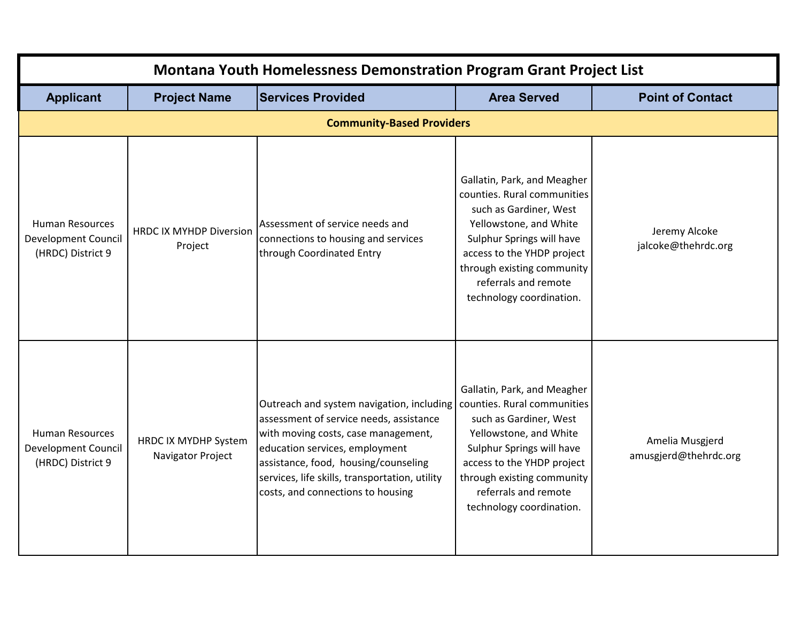| <b>Montana Youth Homelessness Demonstration Program Grant Project List</b> |                                           |                                                                                                                                                                                                                                                                                              |                                                                                                                                                                                                                                                             |                                          |
|----------------------------------------------------------------------------|-------------------------------------------|----------------------------------------------------------------------------------------------------------------------------------------------------------------------------------------------------------------------------------------------------------------------------------------------|-------------------------------------------------------------------------------------------------------------------------------------------------------------------------------------------------------------------------------------------------------------|------------------------------------------|
| <b>Applicant</b>                                                           | <b>Project Name</b>                       | <b>Services Provided</b>                                                                                                                                                                                                                                                                     | <b>Area Served</b>                                                                                                                                                                                                                                          | <b>Point of Contact</b>                  |
|                                                                            |                                           | <b>Community-Based Providers</b>                                                                                                                                                                                                                                                             |                                                                                                                                                                                                                                                             |                                          |
| <b>Human Resources</b><br><b>Development Council</b><br>(HRDC) District 9  | <b>HRDC IX MYHDP Diversion</b><br>Project | Assessment of service needs and<br>connections to housing and services<br>through Coordinated Entry                                                                                                                                                                                          | Gallatin, Park, and Meagher<br>counties. Rural communities<br>such as Gardiner, West<br>Yellowstone, and White<br>Sulphur Springs will have<br>access to the YHDP project<br>through existing community<br>referrals and remote<br>technology coordination. | Jeremy Alcoke<br>jalcoke@thehrdc.org     |
| <b>Human Resources</b><br><b>Development Council</b><br>(HRDC) District 9  | HRDC IX MYDHP System<br>Navigator Project | Outreach and system navigation, including<br>assessment of service needs, assistance<br>with moving costs, case management,<br>education services, employment<br>assistance, food, housing/counseling<br>services, life skills, transportation, utility<br>costs, and connections to housing | Gallatin, Park, and Meagher<br>counties. Rural communities<br>such as Gardiner, West<br>Yellowstone, and White<br>Sulphur Springs will have<br>access to the YHDP project<br>through existing community<br>referrals and remote<br>technology coordination. | Amelia Musgjerd<br>amusgjerd@thehrdc.org |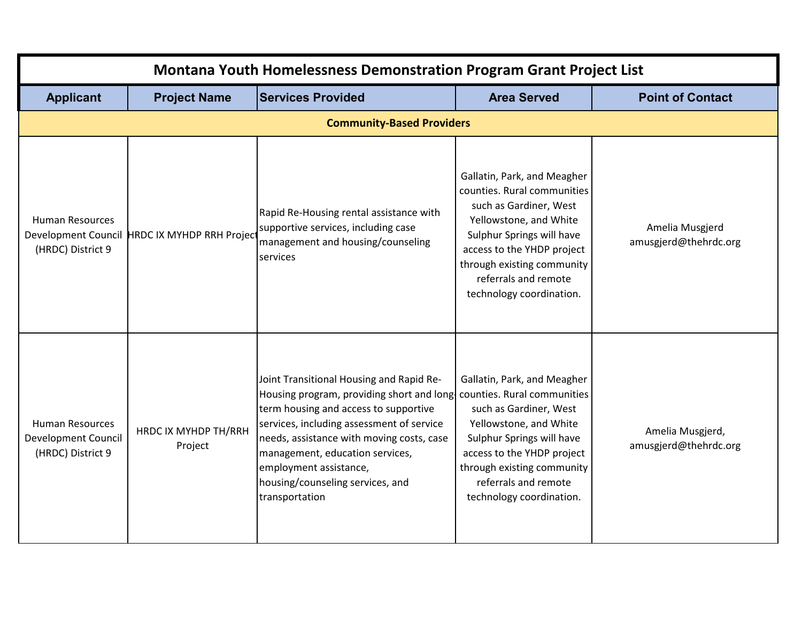| <b>Montana Youth Homelessness Demonstration Program Grant Project List</b> |                                               |                                                                                                                                                                                                                                                                                                                                                                         |                                                                                                                                                                                                                                                             |                                           |
|----------------------------------------------------------------------------|-----------------------------------------------|-------------------------------------------------------------------------------------------------------------------------------------------------------------------------------------------------------------------------------------------------------------------------------------------------------------------------------------------------------------------------|-------------------------------------------------------------------------------------------------------------------------------------------------------------------------------------------------------------------------------------------------------------|-------------------------------------------|
| <b>Applicant</b>                                                           | <b>Project Name</b>                           | <b>Services Provided</b>                                                                                                                                                                                                                                                                                                                                                | <b>Area Served</b>                                                                                                                                                                                                                                          | <b>Point of Contact</b>                   |
|                                                                            |                                               | <b>Community-Based Providers</b>                                                                                                                                                                                                                                                                                                                                        |                                                                                                                                                                                                                                                             |                                           |
| <b>Human Resources</b><br>(HRDC) District 9                                | Development Council HRDC IX MYHDP RRH Project | Rapid Re-Housing rental assistance with<br>supportive services, including case<br>management and housing/counseling<br>services                                                                                                                                                                                                                                         | Gallatin, Park, and Meagher<br>counties. Rural communities<br>such as Gardiner, West<br>Yellowstone, and White<br>Sulphur Springs will have<br>access to the YHDP project<br>through existing community<br>referrals and remote<br>technology coordination. | Amelia Musgjerd<br>amusgjerd@thehrdc.org  |
| <b>Human Resources</b><br><b>Development Council</b><br>(HRDC) District 9  | HRDC IX MYHDP TH/RRH<br>Project               | Joint Transitional Housing and Rapid Re-<br>Housing program, providing short and long counties. Rural communities<br>term housing and access to supportive<br>services, including assessment of service<br>needs, assistance with moving costs, case<br>management, education services,<br>employment assistance,<br>housing/counseling services, and<br>transportation | Gallatin, Park, and Meagher<br>such as Gardiner, West<br>Yellowstone, and White<br>Sulphur Springs will have<br>access to the YHDP project<br>through existing community<br>referrals and remote<br>technology coordination.                                | Amelia Musgjerd,<br>amusgjerd@thehrdc.org |